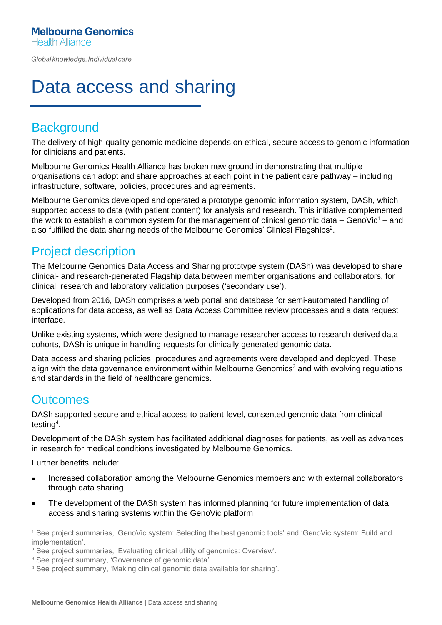Global knowledge. Individual care.

# Data access and sharing

## **Background**

The delivery of high-quality genomic medicine depends on ethical, secure access to genomic information for clinicians and patients.

Melbourne Genomics Health Alliance has broken new ground in demonstrating that multiple organisations can adopt and share approaches at each point in the patient care pathway – including infrastructure, software, policies, procedures and agreements.

Melbourne Genomics developed and operated a prototype genomic information system, DASh, which supported access to data (with patient content) for analysis and research. This initiative complemented the work to establish a common system for the management of clinical genomic data – GenoVic<sup>1</sup> – and also fulfilled the data sharing needs of the Melbourne Genomics' Clinical Flagships<sup>2</sup>.

## Project description

The Melbourne Genomics Data Access and Sharing prototype system (DASh) was developed to share clinical- and research-generated Flagship data between member organisations and collaborators, for clinical, research and laboratory validation purposes ('secondary use').

Developed from 2016, DASh comprises a web portal and database for semi-automated handling of applications for data access, as well as Data Access Committee review processes and a data request interface.

Unlike existing systems, which were designed to manage researcher access to research-derived data cohorts, DASh is unique in handling requests for clinically generated genomic data.

Data access and sharing policies, procedures and agreements were developed and deployed. These align with the data governance environment within Melbourne Genomics<sup>3</sup> and with evolving regulations and standards in the field of healthcare genomics.

#### **Outcomes**

DASh supported secure and ethical access to patient-level, consented genomic data from clinical testing<sup>4</sup> .

Development of the DASh system has facilitated additional diagnoses for patients, as well as advances in research for medical conditions investigated by Melbourne Genomics.

Further benefits include:

- **EXEDENT Increased collaboration among the Melbourne Genomics members and with external collaborators** through data sharing
- The development of the DASh system has informed planning for future implementation of data access and sharing systems within the GenoVic platform

<sup>1</sup> See project summaries, 'GenoVic system: Selecting the best genomic tools' and 'GenoVic system: Build and implementation'.

<sup>2</sup> See project summaries, 'Evaluating clinical utility of genomics: Overview'.

<sup>&</sup>lt;sup>3</sup> See project summary, 'Governance of genomic data'.

<sup>4</sup> See project summary, 'Making clinical genomic data available for sharing'.